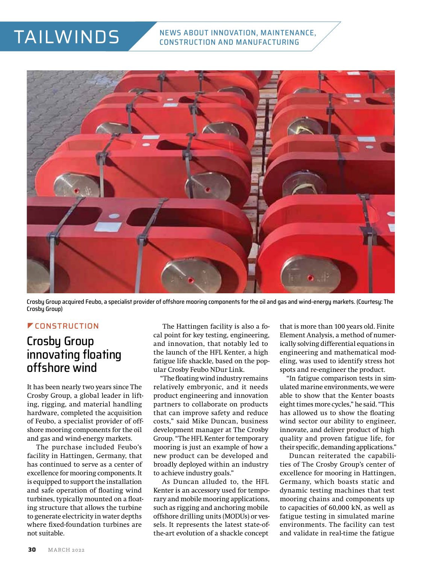# TAILWINDS



Crosby Group acquired Feubo, a specialist provider of offshore mooring components for the oil and gas and wind-energy markets. (Courtesy: The Crosbu Group)

#### **ECONSTRUCTION**

### Crosby Group innovating floating offshore wind

It has been nearly two years since The Crosby Group, a global leader in lifting, rigging, and material handling hardware, completed the acquisition of Feubo, a specialist provider of offshore mooring components for the oil and gas and wind-energy markets.

The purchase included Feubo's facility in Hattingen, Germany, that has continued to serve as a center of excellence for mooring components. It is equipped to support the installation and safe operation of floating wind turbines, typically mounted on a floating structure that allows the turbine to generate electricity in water depths where fixed-foundation turbines are not suitable.

The Hattingen facility is also a focal point for key testing, engineering, and innovation, that notably led to the launch of the HFL Kenter, a high fatigue life shackle, based on the popular Crosby Feubo NDur Link.

"The floating wind industry remains relatively embryonic, and it needs product engineering and innovation partners to collaborate on products that can improve safety and reduce costs," said Mike Duncan, business development manager at The Crosby Group. "The HFL Kenter for temporary mooring is just an example of how a new product can be developed and broadly deployed within an industry to achieve industry goals."

As Duncan alluded to, the HFL Kenter is an accessory used for temporary and mobile mooring applications, such as rigging and anchoring mobile offshore drilling units (MODUs) or vessels. It represents the latest state-ofthe-art evolution of a shackle concept

that is more than 100 years old. Finite Element Analysis, a method of numerically solving differential equations in engineering and mathematical modeling, was used to identify stress hot spots and re-engineer the product.

"In fatigue comparison tests in simulated marine environments, we were able to show that the Kenter boasts eight times more cycles," he said. "This has allowed us to show the floating wind sector our ability to engineer, innovate, and deliver product of high quality and proven fatigue life, for their specific, demanding applications."

Duncan reiterated the capabilities of The Crosby Group's center of excellence for mooring in Hattingen, Germany, which boasts static and dynamic testing machines that test mooring chains and components up to capacities of 60,000 kN, as well as fatigue testing in simulated marine environments. The facility can test and validate in real-time the fatigue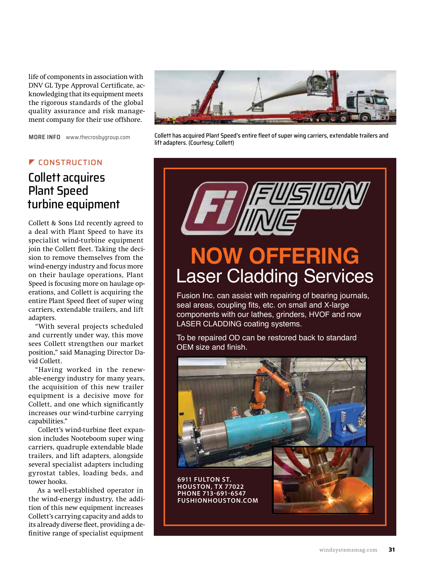life of components in association with DNV GL Type Approval Certificate, acknowledging that its equipment meets the rigorous standards of the global quality assurance and risk management company for their use offshore.

**MORE INFO** [www.thecrosbygroup.com](http://www.thecrosbygroup.com)

#### ] CONSTRUCTION

### Collett acquires Plant Speed turbine equipment

Collett & Sons Ltd recently agreed to a deal with Plant Speed to have its specialist wind-turbine equipment join the Collett fleet. Taking the decision to remove themselves from the wind-energy industry and focus more on their haulage operations, Plant Speed is focusing more on haulage operations, and Collett is acquiring the entire Plant Speed fleet of super wing carriers, extendable trailers, and lift adapters.

"With several projects scheduled and currently under way, this move sees Collett strengthen our market position," said Managing Director David Collett.

"Having worked in the renewable-energy industry for many years, the acquisition of this new trailer equipment is a decisive move for Collett, and one which significantly increases our wind-turbine carrying capabilities."

Collett's wind-turbine fleet expansion includes Nooteboom super wing carriers, quadruple extendable blade trailers, and lift adapters, alongside several specialist adapters including gyrostat tables, loading beds, and tower hooks.

As a well-established operator in the wind-energy industry, the addition of this new equipment increases Collett's carrying capacity and adds to its already diverse fleet, providing a definitive range of specialist equipment



Collett has acquired Plant Speed's entire fleet of super wing carriers, extendable trailers and lift adapters. (Courtesy: Collett)

**NOW OFFERING** Laser Cladding Services

Fusion Inc. can assist with repairing of bearing journals, seal areas, coupling fits, etc. on small and X-large components with our lathes, grinders, HVOF and now LASER CLADDING coating systems.

To be repaired OD can be restored back to standard OEM size and finish.

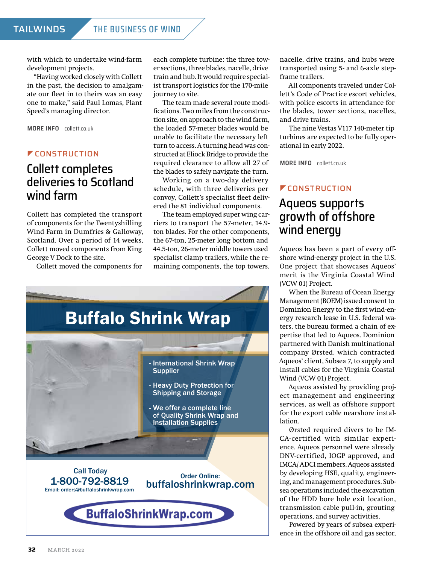with which to undertake wind-farm development projects.

"Having worked closely with Collett in the past, the decision to amalgamate our fleet in to theirs was an easy one to make," said Paul Lomas, Plant Speed's managing director.

**MORE INFO** [collett.co.uk](http://collett.co.uk)

#### **ZEONSTRUCTION**

### Collett completes deliveries to Scotland wind farm

Collett has completed the transport of components for the Twentyshilling Wind Farm in Dumfries & Galloway, Scotland. Over a period of 14 weeks, Collett moved components from King George V Dock to the site.

Collett moved the components for

each complete turbine: the three tower sections, three blades, nacelle, drive train and hub. It would require specialist transport logistics for the 170-mile journey to site.

The team made several route modifications. Two miles from the construction site, on approach to the wind farm, the loaded 57-meter blades would be unable to facilitate the necessary left turn to access. A turning head was constructed at Eliock Bridge to provide the required clearance to allow all 27 of the blades to safely navigate the turn.

Working on a two-day delivery schedule, with three deliveries per convoy, Collett's specialist fleet delivered the 81 individual components.

The team employed super wing carriers to transport the 57-meter, 14.9 ton blades. For the other components, the 67-ton, 25-meter long bottom and 44.5-ton, 26-meter middle towers used specialist clamp trailers, while the remaining components, the top towers,



nacelle, drive trains, and hubs were transported using 5- and 6-axle stepframe trailers.

All components traveled under Collett's Code of Practice escort vehicles, with police escorts in attendance for the blades, tower sections, nacelles, and drive trains.

The nine Vestas V117 140-meter tip turbines are expected to be fully operational in early 2022.

**MORE INFO** [collett.co.uk](http://collett.co.uk)

#### *CONSTRUCTION*

### Aqueos supports growth of offshore wind energy

Aqueos has been a part of every offshore wind-energy project in the U.S. One project that showcases Aqueos' merit is the Virginia Coastal Wind (VCW 01) Project.

When the Bureau of Ocean Energy Management (BOEM) issued consent to Dominion Energy to the first wind-energy research lease in U.S. federal waters, the bureau formed a chain of expertise that led to Aqueos. Dominion partnered with Danish multinational company Ørsted, which contracted Aqueos' client, Subsea 7, to supply and install cables for the Virginia Coastal Wind (VCW 01) Project.

Aqueos assisted by providing project management and engineering services, as well as offshore support for the export cable nearshore installation.

Ørsted required divers to be IM-CA-certified with similar experience. Aqueos personnel were already DNV-certified, IOGP approved, and IMCA/ ADCI members. Aqueos assisted by developing HSE, quality, engineering, and management procedures. Subsea operations included the excavation of the HDD bore hole exit location, transmission cable pull-in, grouting operations, and survey activities.

Powered by years of subsea experience in the offshore oil and gas sector,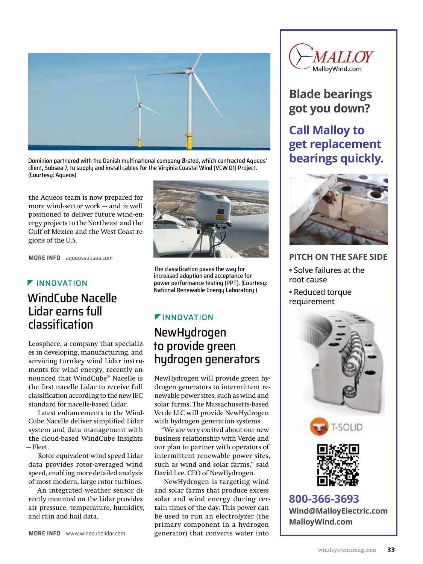

Dominion partnered with the Danish multinational company Ørsted, which contracted Aqueos' client, Subsea 7, to supply and install cables for the Virginia Coastal Wind (VCW 01) Project. (Courtesy: Aqueos)

the Aqueos team is now prepared for more wind-sector work — and is well positioned to deliver future wind-energy projects to the Northeast and the Gulf of Mexico and the West Coast regions of the U.S.

**MORE INFO** [aqueossubsea.com](http://aqueossubsea.com)

#### **F** INNOVATION

### WindCube Nacelle Lidar earns full classification

Leosphere, a company that specializes in developing, manufacturing, and servicing turnkey wind Lidar instruments for wind energy, recently announced that WindCube® Nacelle is the first nacelle Lidar to receive full classification according to the new IEC standard for nacelle-based Lidar.

Latest enhancements to the Wind-Cube Nacelle deliver simplified Lidar system and data management with the cloud-based WindCube Insights — Fleet.

Rotor equivalent wind speed Lidar data provides rotor-averaged wind speed, enabling more detailed analysis of most modern, large rotor turbines.

An integrated weather sensor directly mounted on the Lidar provides air pressure, temperature, humidity, and rain and hail data.



The classification paves the way for increased adoption and acceptance for power performance testing (PPT). (Courtesy: National Renewable Energy Laboratory )

# **FINNOVATION**

### NewHydrogen to provide green hydrogen generators

NewHydrogen will provide green hydrogen generators to intermittent renewable power sites, such as wind and solar farms. The Massachusetts-based Verde LLC will provide NewHydrogen with hydrogen generation systems.

"We are very excited about our new business relationship with Verde and our plan to partner with operators of intermittent renewable power sites, such as wind and solar farms," said David Lee, CEO of NewHydrogen.

NewHydrogen is targeting wind and solar farms that produce excess solar and wind energy during certain times of the day. This power can be used to run an electrolyzer (the primary component in a hydrogen generator) that converts water into



## **Blade bearings got you down?**

### **Call Malloy to get replacement bearings quickly.**



#### **PITCH ON THE SAFE SIDE**

- **•** Solve failures at the root cause
- **•** Reduced torque requirement







**800-366-3693 [Wind@MalloyElectric.com](mailto:Wind@MalloyElectric.com?subject=Referred by Wind Systems) [MalloyWind.com](http://malloywind.com)**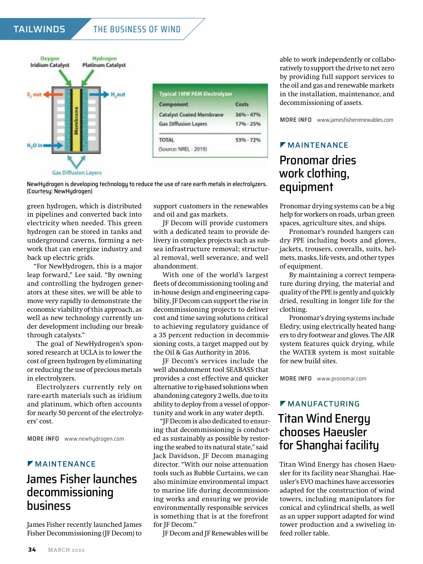#### TAILWINDS THE BUSINESS OF WIND



NewHydrogen is developing technology to reduce the use of rare earth metals in electrolyzers. (Courtesy: NewHydrogen)

green hydrogen, which is distributed in pipelines and converted back into electricity when needed. This green hydrogen can be stored in tanks and underground caverns, forming a network that can energize industry and back up electric grids.

"For NewHydrogen, this is a major leap forward," Lee said. "By owning and controlling the hydrogen generators at these sites, we will be able to move very rapidly to demonstrate the economic viability of this approach, as well as new technology currently under development including our breakthrough catalysts."

The goal of NewHydrogen's sponsored research at UCLA is to lower the cost of green hydrogen by eliminating or reducing the use of precious metals in electrolyzers.

Electrolyzers currently rely on rare-earth materials such as iridium and platinum, which often accounts for nearly 50 percent of the electrolyzers' cost.

**MORE INFO** [www.newhydrogen.com](http://www.newhydrogen.com)

#### **MAINTENANCE**

### James Fisher launches decommissioning business

James Fisher recently launched James Fisher Decommissioning (JF Decom) to support customers in the renewables and oil and gas markets.

JF Decom will provide customers with a dedicated team to provide delivery in complex projects such as subsea infrastructure removal; structural removal, well severance, and well abandonment.

With one of the world's largest fleets of decommissioning tooling and in-house design and engineering capability, JF Decom can support the rise in decommissioning projects to deliver cost and time saving solutions critical to achieving regulatory guidance of a 35 percent reduction in decommissioning costs, a target mapped out by the Oil & Gas Authority in 2016.

JF Decom's services include the well abandonment tool SEABASS that provides a cost effective and quicker alternative to rig-based solutions when abandoning category 2 wells, due to its ability to deploy from a vessel of opportunity and work in any water depth.

"JF Decom is also dedicated to ensuring that decommissioning is conducted as sustainably as possible by restoring the seabed to its natural state," said Jack Davidson, JF Decom managing director. "With our noise attenuation tools such as Bubble Curtains, we can also minimize environmental impact to marine life during decommissioning works and ensuring we provide environmentally responsible services is something that is at the forefront for JF Decom."

JF Decom and JF Renewables will be

able to work independently or collaboratively to support the drive to net zero by providing full support services to the oil and gas and renewable markets in the installation, maintenance, and decommissioning of assets.

**MORE INFO** [www.jamesfisherrenewables.com](http://www.jamesfisherrenewables.com)

#### **MAINTENANCE**

### Pronomar dries work clothing, equipment

Pronomar drying systems can be a big help for workers on roads, urban green spaces, agriculture sites, and ships.

Pronomar's rounded hangers can dry PPE including boots and gloves, jackets, trousers, coveralls, suits, helmets, masks, life vests, and other types of equipment.

By maintaining a correct temperature during drying, the material and quality of the PPE is gently and quickly dried, resulting in longer life for the clothing.

Pronomar's drying systems include Eledry, using electrically heated hangers to dry footwear and gloves. The AIR system features quick drying, while the WATER system is most suitable for new build sites.

**MORE INFO** [www.pronomar.com](http://www.pronomar.com)

#### $M$ MANUFACTURING

### Titan Wind Energy chooses Haeusler for Shanghai facility

Titan Wind Energy has chosen Haeusler for its facility near Shanghai. Haeusler's EVO machines have accessories adapted for the construction of wind towers, including manipulators for conical and cylindrical shells, as well as an upper support adapted for wind tower production and a swiveling infeed roller table.